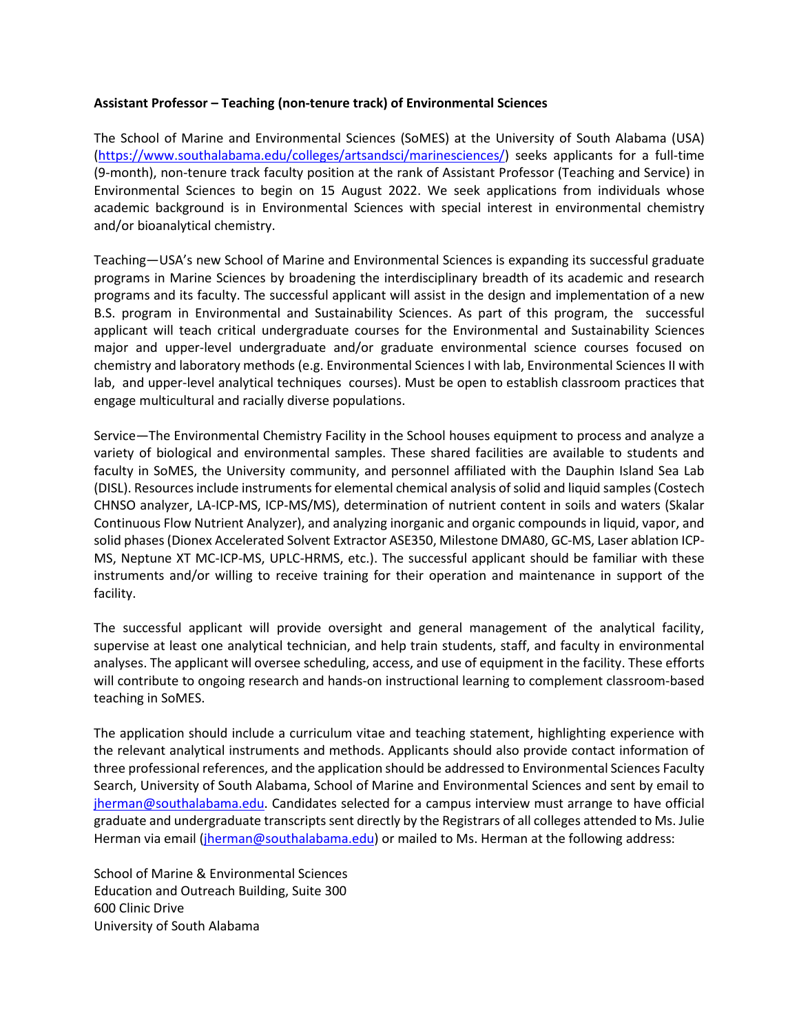## **Assistant Professor – Teaching (non-tenure track) of Environmental Sciences**

The School of Marine and Environmental Sciences (SoMES) at the University of South Alabama (USA) [\(https://www.southalabama.edu/colleges/artsandsci/marinesciences/\)](https://www.southalabama.edu/colleges/artsandsci/marinesciences/) seeks applicants for a full-time (9-month), non-tenure track faculty position at the rank of Assistant Professor (Teaching and Service) in Environmental Sciences to begin on 15 August 2022. We seek applications from individuals whose academic background is in Environmental Sciences with special interest in environmental chemistry and/or bioanalytical chemistry.

Teaching—USA's new School of Marine and Environmental Sciences is expanding its successful graduate programs in Marine Sciences by broadening the interdisciplinary breadth of its academic and research programs and its faculty. The successful applicant will assist in the design and implementation of a new B.S. program in Environmental and Sustainability Sciences. As part of this program, the successful applicant will teach critical undergraduate courses for the Environmental and Sustainability Sciences major and upper-level undergraduate and/or graduate environmental science courses focused on chemistry and laboratory methods (e.g. Environmental Sciences I with lab, Environmental Sciences II with lab, and upper-level analytical techniques courses). Must be open to establish classroom practices that engage multicultural and racially diverse populations.

Service—The Environmental Chemistry Facility in the School houses equipment to process and analyze a variety of biological and environmental samples. These shared facilities are available to students and faculty in SoMES, the University community, and personnel affiliated with the Dauphin Island Sea Lab (DISL). Resources include instruments for elemental chemical analysis of solid and liquid samples (Costech CHNSO analyzer, LA-ICP-MS, ICP-MS/MS), determination of nutrient content in soils and waters (Skalar Continuous Flow Nutrient Analyzer), and analyzing inorganic and organic compounds in liquid, vapor, and solid phases (Dionex Accelerated Solvent Extractor ASE350, Milestone DMA80, GC-MS, Laser ablation ICP-MS, Neptune XT MC-ICP-MS, UPLC-HRMS, etc.). The successful applicant should be familiar with these instruments and/or willing to receive training for their operation and maintenance in support of the facility.

The successful applicant will provide oversight and general management of the analytical facility, supervise at least one analytical technician, and help train students, staff, and faculty in environmental analyses. The applicant will oversee scheduling, access, and use of equipment in the facility. These efforts will contribute to ongoing research and hands-on instructional learning to complement classroom-based teaching in SoMES.

The application should include a curriculum vitae and teaching statement, highlighting experience with the relevant analytical instruments and methods. Applicants should also provide contact information of three professional references, and the application should be addressed to Environmental Sciences Faculty Search, University of South Alabama, School of Marine and Environmental Sciences and sent by email to [jherman@southalabama.edu.](mailto:jherman@southalabama.edu) Candidates selected for a campus interview must arrange to have official graduate and undergraduate transcripts sent directly by the Registrars of all colleges attended to Ms. Julie Herman via email [\(jherman@southalabama.edu\)](mailto:jherman@southalabama.edu) or mailed to Ms. Herman at the following address:

School of Marine & Environmental Sciences Education and Outreach Building, Suite 300 600 Clinic Drive University of South Alabama